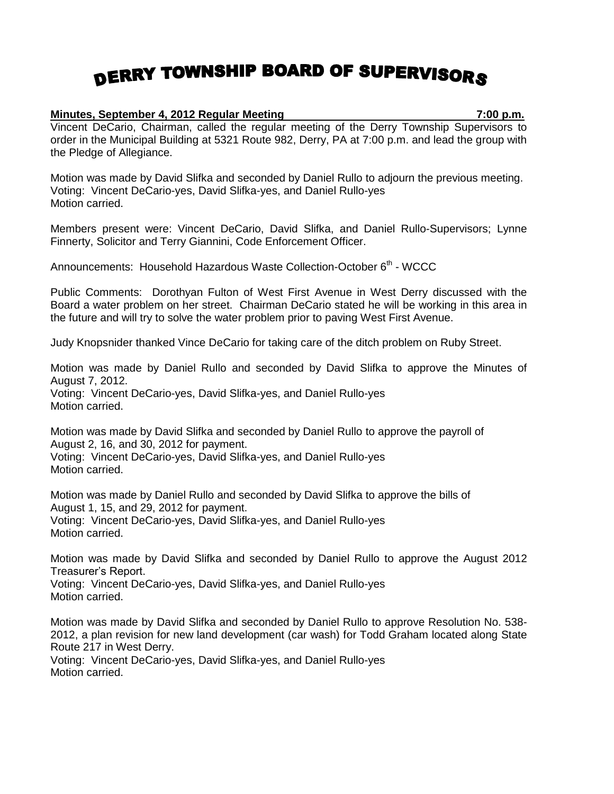## DERRY TOWNSHIP BOARD OF SUPERVISORS

## **Minutes, September 4, 2012 Regular Meeting 7:00 p.m.**

Vincent DeCario, Chairman, called the regular meeting of the Derry Township Supervisors to order in the Municipal Building at 5321 Route 982, Derry, PA at 7:00 p.m. and lead the group with the Pledge of Allegiance.

Motion was made by David Slifka and seconded by Daniel Rullo to adjourn the previous meeting. Voting: Vincent DeCario-yes, David Slifka-yes, and Daniel Rullo-yes Motion carried.

Members present were: Vincent DeCario, David Slifka, and Daniel Rullo-Supervisors; Lynne Finnerty, Solicitor and Terry Giannini, Code Enforcement Officer.

Announcements: Household Hazardous Waste Collection-October 6<sup>th</sup> - WCCC

Public Comments: Dorothyan Fulton of West First Avenue in West Derry discussed with the Board a water problem on her street. Chairman DeCario stated he will be working in this area in the future and will try to solve the water problem prior to paving West First Avenue.

Judy Knopsnider thanked Vince DeCario for taking care of the ditch problem on Ruby Street.

Motion was made by Daniel Rullo and seconded by David Slifka to approve the Minutes of August 7, 2012. Voting: Vincent DeCario-yes, David Slifka-yes, and Daniel Rullo-yes Motion carried.

Motion was made by David Slifka and seconded by Daniel Rullo to approve the payroll of August 2, 16, and 30, 2012 for payment. Voting: Vincent DeCario-yes, David Slifka-yes, and Daniel Rullo-yes Motion carried.

Motion was made by Daniel Rullo and seconded by David Slifka to approve the bills of August 1, 15, and 29, 2012 for payment. Voting: Vincent DeCario-yes, David Slifka-yes, and Daniel Rullo-yes Motion carried.

Motion was made by David Slifka and seconded by Daniel Rullo to approve the August 2012 Treasurer's Report.

Voting: Vincent DeCario-yes, David Slifka-yes, and Daniel Rullo-yes Motion carried.

Motion was made by David Slifka and seconded by Daniel Rullo to approve Resolution No. 538- 2012, a plan revision for new land development (car wash) for Todd Graham located along State Route 217 in West Derry.

Voting: Vincent DeCario-yes, David Slifka-yes, and Daniel Rullo-yes Motion carried.